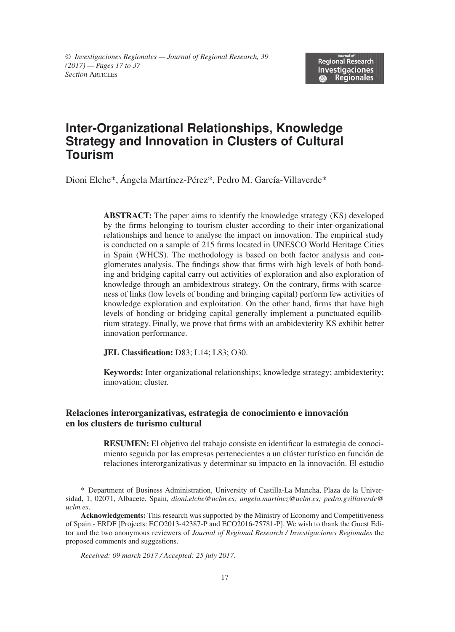# **Inter-Organizational Relationships, Knowledge Strategy and Innovation in Clusters of Cultural Tourism**

Dioni Elche\*, Ángela Martínez-Pérez\*, Pedro M. García-Villaverde\*

**ABSTRACT:** The paper aims to identify the knowledge strategy (KS) developed by the firms belonging to tourism cluster according to their inter-organizational relationships and hence to analyse the impact on innovation. The empirical study is conducted on a sample of 215 firms located in UNESCO World Heritage Cities in Spain (WHCS). The methodology is based on both factor analysis and conglomerates analysis. The findings show that firms with high levels of both bonding and bridging capital carry out activities of exploration and also exploration of knowledge through an ambidextrous strategy. On the contrary, firms with scarceness of links (low levels of bonding and bringing capital) perform few activities of knowledge exploration and exploitation. On the other hand, firms that have high levels of bonding or bridging capital generally implement a punctuated equilibrium strategy. Finally, we prove that firms with an ambidexterity KS exhibit better innovation performance.

**JEL Classification:** D83; L14; L83; O30.

**Keywords:** Inter-organizational relationships; knowledge strategy; ambidexterity; innovation; cluster.

#### **Relaciones interorganizativas, estrategia de conocimiento e innovación en los clusters de turismo cultural**

**RESUMEN:** El objetivo del trabajo consiste en identificar la estrategia de conocimiento seguida por las empresas pertenecientes a un clúster turístico en función de relaciones interorganizativas y determinar su impacto en la innovación. El estudio

<sup>\*</sup> Department of Business Administration, University of Castilla-La Mancha, Plaza de la Universidad, 1, 02071, Albacete, Spain, *dioni.elche@uclm.es; angela.martinez@uclm.es; pedro.gvillaverde@ uclm.es*.

**Acknowledgements:** This research was supported by the Ministry of Economy and Competitiveness of Spain - ERDF [Projects: ECO2013-42387-P and ECO2016-75781-P]. We wish to thank the Guest Editor and the two anonymous reviewers of *Journal of Regional Research / Investigaciones Regionales* the proposed comments and suggestions.

*Received: 09 march 2017 / Accepted: 25 july 2017.*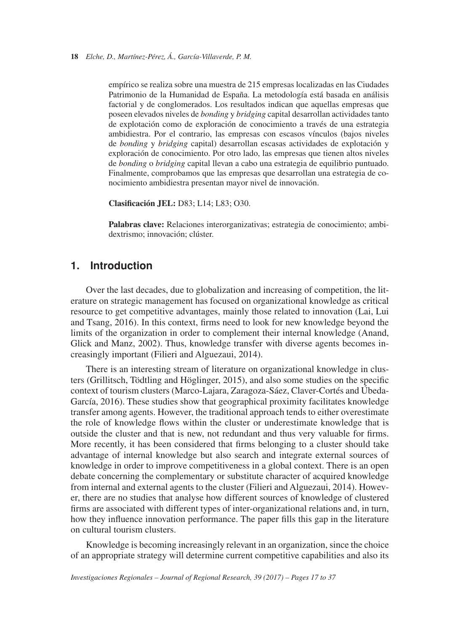empírico se realiza sobre una muestra de 215 empresas localizadas en las Ciudades Patrimonio de la Humanidad de España. La metodología está basada en análisis factorial y de conglomerados. Los resultados indican que aquellas empresas que poseen elevados niveles de *bonding* y *bridging* capital desarrollan actividades tanto de explotación como de exploración de conocimiento a través de una estrategia ambidiestra. Por el contrario, las empresas con escasos vínculos (bajos niveles de *bonding* y *bridging* capital) desarrollan escasas actividades de explotación y exploración de conocimiento. Por otro lado, las empresas que tienen altos niveles de *bonding* o *bridging* capital llevan a cabo una estrategia de equilibrio puntuado. Finalmente, comprobamos que las empresas que desarrollan una estrategia de conocimiento ambidiestra presentan mayor nivel de innovación.

**Clasificación JEL:** D83; L14; L83; O30.

**Palabras clave:** Relaciones interorganizativas; estrategia de conocimiento; ambidextrismo; innovación; clúster.

# **1. Introduction**

Over the last decades, due to globalization and increasing of competition, the literature on strategic management has focused on organizational knowledge as critical resource to get competitive advantages, mainly those related to innovation (Lai, Lui and Tsang, 2016). In this context, firms need to look for new knowledge beyond the limits of the organization in order to complement their internal knowledge (Anand, Glick and Manz, 2002). Thus, knowledge transfer with diverse agents becomes increasingly important (Filieri and Alguezaui, 2014).

There is an interesting stream of literature on organizational knowledge in clusters (Grillitsch, Tödtling and Höglinger, 2015), and also some studies on the specific context of tourism clusters (Marco-Lajara, Zaragoza-Sáez, Claver-Cortés and Úbeda-García, 2016). These studies show that geographical proximity facilitates knowledge transfer among agents. However, the traditional approach tends to either overestimate the role of knowledge flows within the cluster or underestimate knowledge that is outside the cluster and that is new, not redundant and thus very valuable for firms. More recently, it has been considered that firms belonging to a cluster should take advantage of internal knowledge but also search and integrate external sources of knowledge in order to improve competitiveness in a global context. There is an open debate concerning the complementary or substitute character of acquired knowledge from internal and external agents to the cluster (Filieri and Alguezaui, 2014). However, there are no studies that analyse how different sources of knowledge of clustered firms are associated with different types of inter-organizational relations and, in turn, how they influence innovation performance. The paper fills this gap in the literature on cultural tourism clusters.

Knowledge is becoming increasingly relevant in an organization, since the choice of an appropriate strategy will determine current competitive capabilities and also its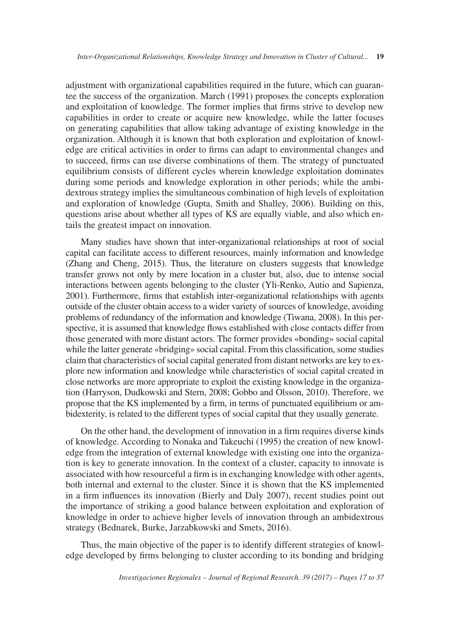adjustment with organizational capabilities required in the future, which can guarantee the success of the organization. March (1991) proposes the concepts exploration and exploitation of knowledge. The former implies that firms strive to develop new capabilities in order to create or acquire new knowledge, while the latter focuses on generating capabilities that allow taking advantage of existing knowledge in the organization. Although it is known that both exploration and exploitation of knowledge are critical activities in order to firms can adapt to environmental changes and to succeed, firms can use diverse combinations of them. The strategy of punctuated equilibrium consists of different cycles wherein knowledge exploitation dominates during some periods and knowledge exploration in other periods; while the ambidextrous strategy implies the simultaneous combination of high levels of exploitation and exploration of knowledge (Gupta, Smith and Shalley, 2006). Building on this, questions arise about whether all types of KS are equally viable, and also which entails the greatest impact on innovation.

Many studies have shown that inter-organizational relationships at root of social capital can facilitate access to different resources, mainly information and knowledge (Zhang and Cheng, 2015). Thus, the literature on clusters suggests that knowledge transfer grows not only by mere location in a cluster but, also, due to intense social interactions between agents belonging to the cluster (Yli-Renko, Autio and Sapienza, 2001). Furthermore, firms that establish inter-organizational relationships with agents outside of the cluster obtain access to a wider variety of sources of knowledge, avoiding problems of redundancy of the information and knowledge (Tiwana, 2008). In this perspective, it is assumed that knowledge flows established with close contacts differ from those generated with more distant actors. The former provides «bonding» social capital while the latter generate «bridging» social capital. From this classification, some studies claim that characteristics of social capital generated from distant networks are key to explore new information and knowledge while characteristics of social capital created in close networks are more appropriate to exploit the existing knowledge in the organization (Harryson, Dudkowski and Stern, 2008; Gobbo and Olsson, 2010). Therefore, we propose that the KS implemented by a firm, in terms of punctuated equilibrium or ambidexterity, is related to the different types of social capital that they usually generate.

On the other hand, the development of innovation in a firm requires diverse kinds of knowledge. According to Nonaka and Takeuchi (1995) the creation of new knowledge from the integration of external knowledge with existing one into the organization is key to generate innovation. In the context of a cluster, capacity to innovate is associated with how resourceful a firm is in exchanging knowledge with other agents, both internal and external to the cluster. Since it is shown that the KS implemented in a firm influences its innovation (Bierly and Daly 2007), recent studies point out the importance of striking a good balance between exploitation and exploration of knowledge in order to achieve higher levels of innovation through an ambidextrous strategy (Bednarek, Burke, Jarzabkowski and Smets, 2016).

Thus, the main objective of the paper is to identify different strategies of knowledge developed by firms belonging to cluster according to its bonding and bridging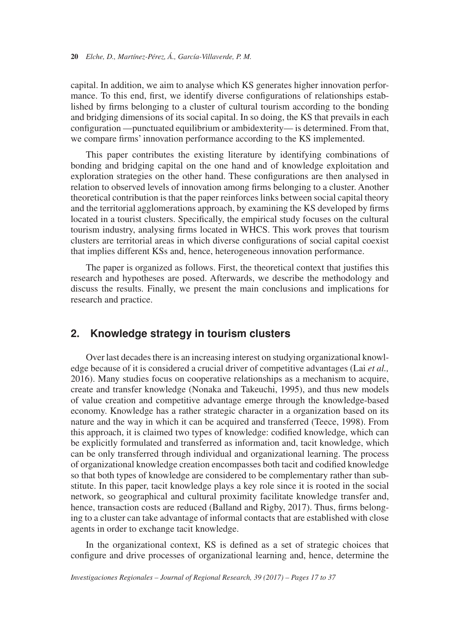capital. In addition, we aim to analyse which KS generates higher innovation performance. To this end, first, we identify diverse configurations of relationships established by firms belonging to a cluster of cultural tourism according to the bonding and bridging dimensions of its social capital. In so doing, the KS that prevails in each configuration —punctuated equilibrium or ambidexterity— is determined. From that, we compare firms' innovation performance according to the KS implemented.

This paper contributes the existing literature by identifying combinations of bonding and bridging capital on the one hand and of knowledge exploitation and exploration strategies on the other hand. These configurations are then analysed in relation to observed levels of innovation among firms belonging to a cluster. Another theoretical contribution is that the paper reinforces links between social capital theory and the territorial agglomerations approach, by examining the KS developed by firms located in a tourist clusters. Specifically, the empirical study focuses on the cultural tourism industry, analysing firms located in WHCS. This work proves that tourism clusters are territorial areas in which diverse configurations of social capital coexist that implies different KSs and, hence, heterogeneous innovation performance.

The paper is organized as follows. First, the theoretical context that justifies this research and hypotheses are posed. Afterwards, we describe the methodology and discuss the results. Finally, we present the main conclusions and implications for research and practice.

# **2. Knowledge strategy in tourism clusters**

Over last decades there is an increasing interest on studying organizational knowledge because of it is considered a crucial driver of competitive advantages (Lai *et al.,* 2016). Many studies focus on cooperative relationships as a mechanism to acquire, create and transfer knowledge (Nonaka and Takeuchi, 1995), and thus new models of value creation and competitive advantage emerge through the knowledge-based economy. Knowledge has a rather strategic character in a organization based on its nature and the way in which it can be acquired and transferred (Teece, 1998). From this approach, it is claimed two types of knowledge: codified knowledge, which can be explicitly formulated and transferred as information and, tacit knowledge, which can be only transferred through individual and organizational learning. The process of organizational knowledge creation encompasses both tacit and codified knowledge so that both types of knowledge are considered to be complementary rather than substitute. In this paper, tacit knowledge plays a key role since it is rooted in the social network, so geographical and cultural proximity facilitate knowledge transfer and, hence, transaction costs are reduced (Balland and Rigby, 2017). Thus, firms belonging to a cluster can take advantage of informal contacts that are established with close agents in order to exchange tacit knowledge.

In the organizational context, KS is defined as a set of strategic choices that configure and drive processes of organizational learning and, hence, determine the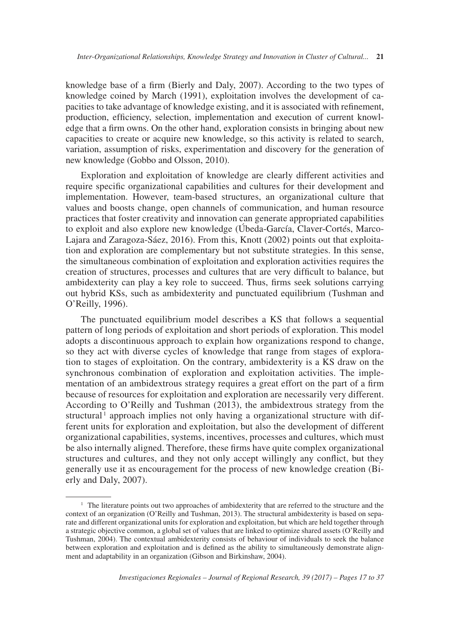knowledge base of a firm (Bierly and Daly, 2007). According to the two types of knowledge coined by March (1991), exploitation involves the development of capacities to take advantage of knowledge existing, and it is associated with refinement, production, efficiency, selection, implementation and execution of current knowledge that a firm owns. On the other hand, exploration consists in bringing about new capacities to create or acquire new knowledge, so this activity is related to search, variation, assumption of risks, experimentation and discovery for the generation of new knowledge (Gobbo and Olsson, 2010).

Exploration and exploitation of knowledge are clearly different activities and require specific organizational capabilities and cultures for their development and implementation. However, team-based structures, an organizational culture that values and boosts change, open channels of communication, and human resource practices that foster creativity and innovation can generate appropriated capabilities to exploit and also explore new knowledge (Úbeda-García, Claver-Cortés, Marco-Lajara and Zaragoza-Sáez, 2016). From this, Knott (2002) points out that exploitation and exploration are complementary but not substitute strategies. In this sense, the simultaneous combination of exploitation and exploration activities requires the creation of structures, processes and cultures that are very difficult to balance, but ambidexterity can play a key role to succeed. Thus, firms seek solutions carrying out hybrid KSs, such as ambidexterity and punctuated equilibrium (Tushman and O'Reilly, 1996).

The punctuated equilibrium model describes a KS that follows a sequential pattern of long periods of exploitation and short periods of exploration. This model adopts a discontinuous approach to explain how organizations respond to change, so they act with diverse cycles of knowledge that range from stages of exploration to stages of exploitation. On the contrary, ambidexterity is a KS draw on the synchronous combination of exploration and exploitation activities. The implementation of an ambidextrous strategy requires a great effort on the part of a firm because of resources for exploitation and exploration are necessarily very different. According to O'Reilly and Tushman (2013), the ambidextrous strategy from the structural<sup>1</sup> approach implies not only having a organizational structure with different units for exploration and exploitation, but also the development of different organizational capabilities, systems, incentives, processes and cultures, which must be also internally aligned. Therefore, these firms have quite complex organizational structures and cultures, and they not only accept willingly any conflict, but they generally use it as encouragement for the process of new knowledge creation (Bierly and Daly, 2007).

<sup>&</sup>lt;sup>1</sup> The literature points out two approaches of ambidexterity that are referred to the structure and the context of an organization (O'Reilly and Tushman, 2013). The structural ambidexterity is based on separate and different organizational units for exploration and exploitation, but which are held together through a strategic objective common, a global set of values that are linked to optimize shared assets (O'Reilly and Tushman, 2004). The contextual ambidexterity consists of behaviour of individuals to seek the balance between exploration and exploitation and is defined as the ability to simultaneously demonstrate alignment and adaptability in an organization (Gibson and Birkinshaw, 2004).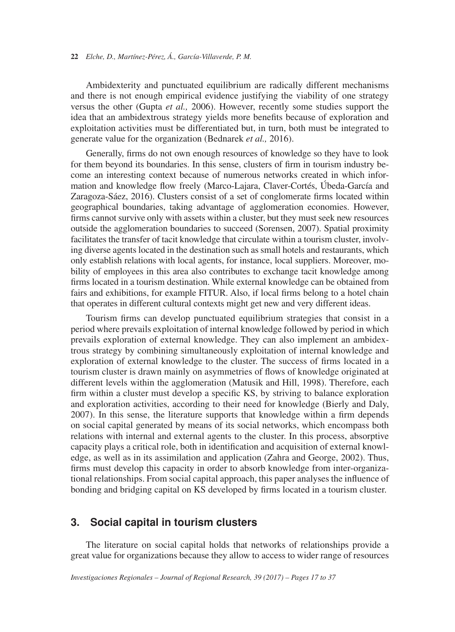Ambidexterity and punctuated equilibrium are radically different mechanisms and there is not enough empirical evidence justifying the viability of one strategy versus the other (Gupta *et al.,* 2006). However, recently some studies support the idea that an ambidextrous strategy yields more benefits because of exploration and exploitation activities must be differentiated but, in turn, both must be integrated to generate value for the organization (Bednarek *et al.,* 2016).

Generally, firms do not own enough resources of knowledge so they have to look for them beyond its boundaries. In this sense, clusters of firm in tourism industry become an interesting context because of numerous networks created in which information and knowledge flow freely (Marco-Lajara, Claver-Cortés, Úbeda-García and Zaragoza-Sáez, 2016). Clusters consist of a set of conglomerate firms located within geographical boundaries, taking advantage of agglomeration economies. However, firms cannot survive only with assets within a cluster, but they must seek new resources outside the agglomeration boundaries to succeed (Sorensen, 2007). Spatial proximity facilitates the transfer of tacit knowledge that circulate within a tourism cluster, involving diverse agents located in the destination such as small hotels and restaurants, which only establish relations with local agents, for instance, local suppliers. Moreover, mobility of employees in this area also contributes to exchange tacit knowledge among firms located in a tourism destination. While external knowledge can be obtained from fairs and exhibitions, for example FITUR. Also, if local firms belong to a hotel chain that operates in different cultural contexts might get new and very different ideas.

Tourism firms can develop punctuated equilibrium strategies that consist in a period where prevails exploitation of internal knowledge followed by period in which prevails exploration of external knowledge. They can also implement an ambidextrous strategy by combining simultaneously exploitation of internal knowledge and exploration of external knowledge to the cluster. The success of firms located in a tourism cluster is drawn mainly on asymmetries of flows of knowledge originated at different levels within the agglomeration (Matusik and Hill, 1998). Therefore, each firm within a cluster must develop a specific KS, by striving to balance exploration and exploration activities, according to their need for knowledge (Bierly and Daly, 2007). In this sense, the literature supports that knowledge within a firm depends on social capital generated by means of its social networks, which encompass both relations with internal and external agents to the cluster. In this process, absorptive capacity plays a critical role, both in identification and acquisition of external knowledge, as well as in its assimilation and application (Zahra and George, 2002). Thus, firms must develop this capacity in order to absorb knowledge from inter-organizational relationships. From social capital approach, this paper analyses the influence of bonding and bridging capital on KS developed by firms located in a tourism cluster.

# **3. Social capital in tourism clusters**

The literature on social capital holds that networks of relationships provide a great value for organizations because they allow to access to wider range of resources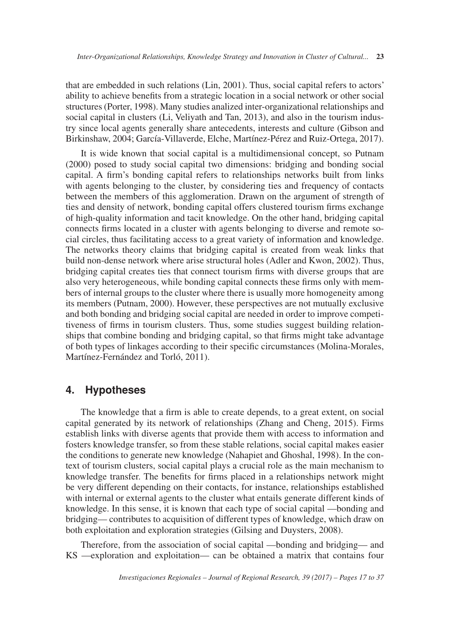that are embedded in such relations (Lin, 2001). Thus, social capital refers to actors' ability to achieve benefits from a strategic location in a social network or other social structures (Porter, 1998). Many studies analized inter-organizational relationships and social capital in clusters (Li, Veliyath and Tan, 2013), and also in the tourism industry since local agents generally share antecedents, interests and culture (Gibson and Birkinshaw, 2004; García-Villaverde, Elche, Martínez-Pérez and Ruiz-Ortega, 2017).

It is wide known that social capital is a multidimensional concept, so Putnam (2000) posed to study social capital two dimensions: bridging and bonding social capital. A firm's bonding capital refers to relationships networks built from links with agents belonging to the cluster, by considering ties and frequency of contacts between the members of this agglomeration. Drawn on the argument of strength of ties and density of network, bonding capital offers clustered tourism firms exchange of high-quality information and tacit knowledge. On the other hand, bridging capital connects firms located in a cluster with agents belonging to diverse and remote social circles, thus facilitating access to a great variety of information and knowledge. The networks theory claims that bridging capital is created from weak links that build non-dense network where arise structural holes (Adler and Kwon, 2002). Thus, bridging capital creates ties that connect tourism firms with diverse groups that are also very heterogeneous, while bonding capital connects these firms only with members of internal groups to the cluster where there is usually more homogeneity among its members (Putnam, 2000). However, these perspectives are not mutually exclusive and both bonding and bridging social capital are needed in order to improve competitiveness of firms in tourism clusters. Thus, some studies suggest building relationships that combine bonding and bridging capital, so that firms might take advantage of both types of linkages according to their specific circumstances (Molina-Morales, Martínez-Fernández and Torló, 2011).

# **4. Hypotheses**

The knowledge that a firm is able to create depends, to a great extent, on social capital generated by its network of relationships (Zhang and Cheng, 2015). Firms establish links with diverse agents that provide them with access to information and fosters knowledge transfer, so from these stable relations, social capital makes easier the conditions to generate new knowledge (Nahapiet and Ghoshal, 1998). In the context of tourism clusters, social capital plays a crucial role as the main mechanism to knowledge transfer. The benefits for firms placed in a relationships network might be very different depending on their contacts, for instance, relationships established with internal or external agents to the cluster what entails generate different kinds of knowledge. In this sense, it is known that each type of social capital —bonding and bridging— contributes to acquisition of different types of knowledge, which draw on both exploitation and exploration strategies (Gilsing and Duysters, 2008).

Therefore, from the association of social capital —bonding and bridging— and KS —exploration and exploitation— can be obtained a matrix that contains four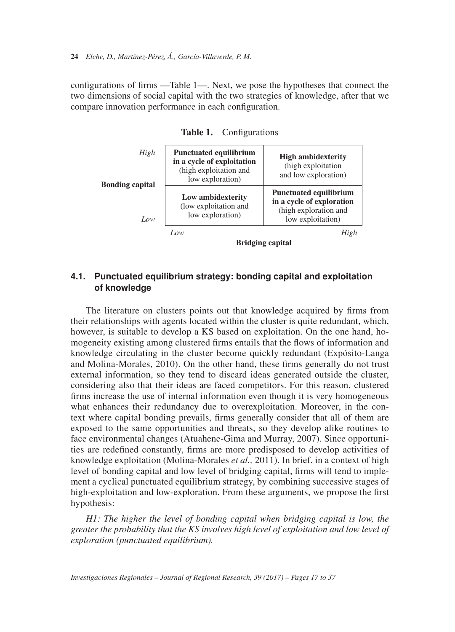configurations of firms —Table 1—. Next, we pose the hypotheses that connect the two dimensions of social capital with the two strategies of knowledge, after that we compare innovation performance in each configuration.

| High<br><b>Bonding capital</b><br>Low | <b>Punctuated equilibrium</b><br>in a cycle of exploitation<br>(high exploitation and<br>low exploration) | <b>High ambidexterity</b><br>(high exploitation<br>and low exploration)                                  |  |  |  |  |  |
|---------------------------------------|-----------------------------------------------------------------------------------------------------------|----------------------------------------------------------------------------------------------------------|--|--|--|--|--|
|                                       | Low ambidexterity<br>(low exploitation and<br>low exploration)                                            | <b>Punctuated equilibrium</b><br>in a cycle of exploration<br>(high exploration and<br>low exploitation) |  |  |  |  |  |
|                                       | Low                                                                                                       | High                                                                                                     |  |  |  |  |  |
|                                       | <b>Bridging capital</b>                                                                                   |                                                                                                          |  |  |  |  |  |

**Table 1.** Configurations

**4.1. Punctuated equilibrium strategy: bonding capital and exploitation of knowledge**

The literature on clusters points out that knowledge acquired by firms from their relationships with agents located within the cluster is quite redundant, which, however, is suitable to develop a KS based on exploitation. On the one hand, homogeneity existing among clustered firms entails that the flows of information and knowledge circulating in the cluster become quickly redundant (Expósito-Langa and Molina-Morales, 2010). On the other hand, these firms generally do not trust external information, so they tend to discard ideas generated outside the cluster, considering also that their ideas are faced competitors. For this reason, clustered firms increase the use of internal information even though it is very homogeneous what enhances their redundancy due to overexploitation. Moreover, in the context where capital bonding prevails, firms generally consider that all of them are exposed to the same opportunities and threats, so they develop alike routines to face environmental changes (Atuahene-Gima and Murray, 2007). Since opportunities are redefined constantly, firms are more predisposed to develop activities of knowledge exploitation (Molina-Morales *et al.,* 2011). In brief, in a context of high level of bonding capital and low level of bridging capital, firms will tend to implement a cyclical punctuated equilibrium strategy, by combining successive stages of high-exploitation and low-exploration. From these arguments, we propose the first hypothesis:

*H1: The higher the level of bonding capital when bridging capital is low, the greater the probability that the KS involves high level of exploitation and low level of exploration (punctuated equilibrium).*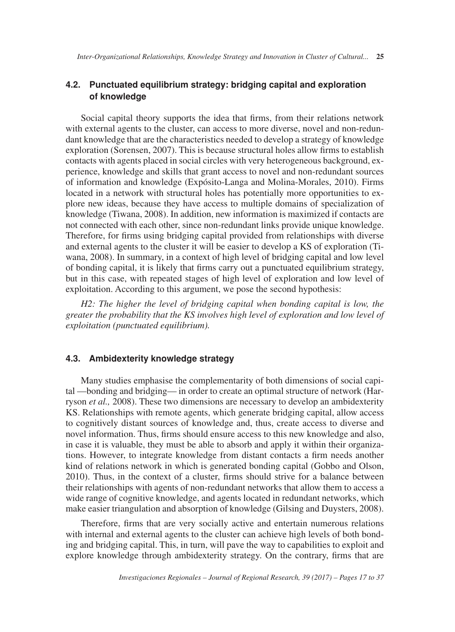### **4.2. Punctuated equilibrium strategy: bridging capital and exploration of knowledge**

Social capital theory supports the idea that firms, from their relations network with external agents to the cluster, can access to more diverse, novel and non-redundant knowledge that are the characteristics needed to develop a strategy of knowledge exploration (Sorensen, 2007). This is because structural holes allow firms to establish contacts with agents placed in social circles with very heterogeneous background, experience, knowledge and skills that grant access to novel and non-redundant sources of information and knowledge (Expósito-Langa and Molina-Morales, 2010). Firms located in a network with structural holes has potentially more opportunities to explore new ideas, because they have access to multiple domains of specialization of knowledge (Tiwana, 2008). In addition, new information is maximized if contacts are not connected with each other, since non-redundant links provide unique knowledge. Therefore, for firms using bridging capital provided from relationships with diverse and external agents to the cluster it will be easier to develop a KS of exploration (Tiwana, 2008). In summary, in a context of high level of bridging capital and low level of bonding capital, it is likely that firms carry out a punctuated equilibrium strategy, but in this case, with repeated stages of high level of exploration and low level of exploitation. According to this argument, we pose the second hypothesis:

*H2: The higher the level of bridging capital when bonding capital is low, the greater the probability that the KS involves high level of exploration and low level of exploitation (punctuated equilibrium).*

#### **4.3. Ambidexterity knowledge strategy**

Many studies emphasise the complementarity of both dimensions of social capital —bonding and bridging— in order to create an optimal structure of network (Harryson *et al.,* 2008). These two dimensions are necessary to develop an ambidexterity KS. Relationships with remote agents, which generate bridging capital, allow access to cognitively distant sources of knowledge and, thus, create access to diverse and novel information. Thus, firms should ensure access to this new knowledge and also, in case it is valuable, they must be able to absorb and apply it within their organizations. However, to integrate knowledge from distant contacts a firm needs another kind of relations network in which is generated bonding capital (Gobbo and Olson, 2010). Thus, in the context of a cluster, firms should strive for a balance between their relationships with agents of non-redundant networks that allow them to access a wide range of cognitive knowledge, and agents located in redundant networks, which make easier triangulation and absorption of knowledge (Gilsing and Duysters, 2008).

Therefore, firms that are very socially active and entertain numerous relations with internal and external agents to the cluster can achieve high levels of both bonding and bridging capital. This, in turn, will pave the way to capabilities to exploit and explore knowledge through ambidexterity strategy. On the contrary, firms that are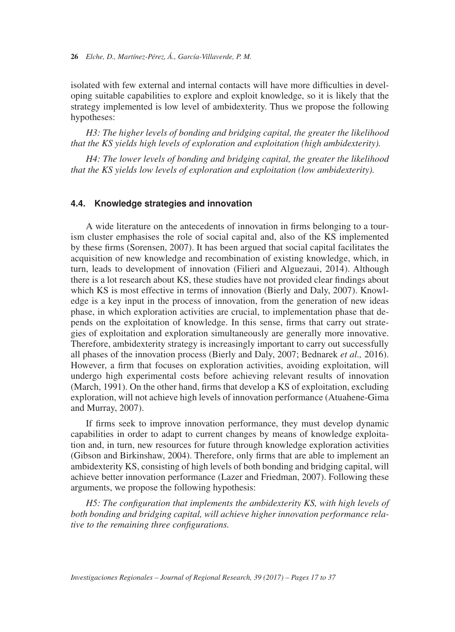**26** *Elche, D., Martínez-Pérez, Á., García-Villaverde, P. M.*

isolated with few external and internal contacts will have more difficulties in developing suitable capabilities to explore and exploit knowledge, so it is likely that the strategy implemented is low level of ambidexterity. Thus we propose the following hypotheses:

*H3: The higher levels of bonding and bridging capital, the greater the likelihood that the KS yields high levels of exploration and exploitation (high ambidexterity).*

*H4: The lower levels of bonding and bridging capital, the greater the likelihood that the KS yields low levels of exploration and exploitation (low ambidexterity).*

#### **4.4. Knowledge strategies and innovation**

A wide literature on the antecedents of innovation in firms belonging to a tourism cluster emphasises the role of social capital and, also of the KS implemented by these firms (Sorensen, 2007). It has been argued that social capital facilitates the acquisition of new knowledge and recombination of existing knowledge, which, in turn, leads to development of innovation (Filieri and Alguezaui, 2014). Although there is a lot research about KS, these studies have not provided clear findings about which KS is most effective in terms of innovation (Bierly and Daly, 2007). Knowledge is a key input in the process of innovation, from the generation of new ideas phase, in which exploration activities are crucial, to implementation phase that depends on the exploitation of knowledge. In this sense, firms that carry out strategies of exploitation and exploration simultaneously are generally more innovative. Therefore, ambidexterity strategy is increasingly important to carry out successfully all phases of the innovation process (Bierly and Daly, 2007; Bednarek *et al.,* 2016). However, a firm that focuses on exploration activities, avoiding exploitation, will undergo high experimental costs before achieving relevant results of innovation (March, 1991). On the other hand, firms that develop a KS of exploitation, excluding exploration, will not achieve high levels of innovation performance (Atuahene-Gima and Murray, 2007).

If firms seek to improve innovation performance, they must develop dynamic capabilities in order to adapt to current changes by means of knowledge exploitation and, in turn, new resources for future through knowledge exploration activities (Gibson and Birkinshaw, 2004). Therefore, only firms that are able to implement an ambidexterity KS, consisting of high levels of both bonding and bridging capital, will achieve better innovation performance (Lazer and Friedman, 2007). Following these arguments, we propose the following hypothesis:

*H5: The configuration that implements the ambidexterity KS, with high levels of both bonding and bridging capital, will achieve higher innovation performance relative to the remaining three configurations.*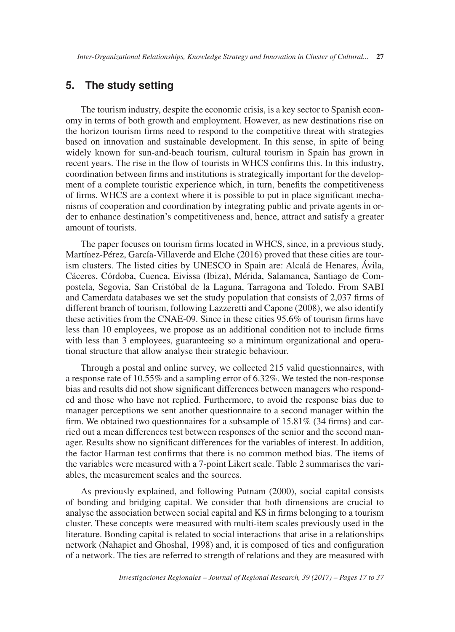# **5. The study setting**

The tourism industry, despite the economic crisis, is a key sector to Spanish economy in terms of both growth and employment. However, as new destinations rise on the horizon tourism firms need to respond to the competitive threat with strategies based on innovation and sustainable development. In this sense, in spite of being widely known for sun-and-beach tourism, cultural tourism in Spain has grown in recent years. The rise in the flow of tourists in WHCS confirms this. In this industry, coordination between firms and institutions is strategically important for the development of a complete touristic experience which, in turn, benefits the competitiveness of firms. WHCS are a context where it is possible to put in place significant mechanisms of cooperation and coordination by integrating public and private agents in order to enhance destination's competitiveness and, hence, attract and satisfy a greater amount of tourists.

The paper focuses on tourism firms located in WHCS, since, in a previous study, Martínez-Pérez, García-Villaverde and Elche (2016) proved that these cities are tourism clusters. The listed cities by UNESCO in Spain are: Alcalá de Henares, Ávila, Cáceres, Córdoba, Cuenca, Eivissa (Ibiza), Mérida, Salamanca, Santiago de Compostela, Segovia, San Cristóbal de la Laguna, Tarragona and Toledo. From SABI and Camerdata databases we set the study population that consists of 2,037 firms of different branch of tourism, following Lazzeretti and Capone (2008), we also identify these activities from the CNAE-09. Since in these cities 95.6% of tourism firms have less than 10 employees, we propose as an additional condition not to include firms with less than 3 employees, guaranteeing so a minimum organizational and operational structure that allow analyse their strategic behaviour.

Through a postal and online survey, we collected 215 valid questionnaires, with a response rate of 10.55% and a sampling error of 6.32%. We tested the non-response bias and results did not show significant differences between managers who responded and those who have not replied. Furthermore, to avoid the response bias due to manager perceptions we sent another questionnaire to a second manager within the firm. We obtained two questionnaires for a subsample of  $15.81\%$  (34 firms) and carried out a mean differences test between responses of the senior and the second manager. Results show no significant differences for the variables of interest. In addition, the factor Harman test confirms that there is no common method bias. The items of the variables were measured with a 7-point Likert scale. Table 2 summarises the variables, the measurement scales and the sources.

As previously explained, and following Putnam (2000), social capital consists of bonding and bridging capital. We consider that both dimensions are crucial to analyse the association between social capital and KS in firms belonging to a tourism cluster. These concepts were measured with multi-item scales previously used in the literature. Bonding capital is related to social interactions that arise in a relationships network (Nahapiet and Ghoshal, 1998) and, it is composed of ties and configuration of a network. The ties are referred to strength of relations and they are measured with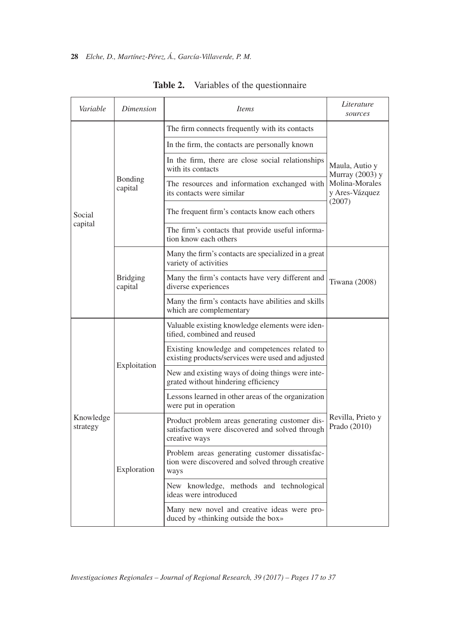| Variable              | Dimension                  | <i>Items</i>                                                                                                       | Literature<br>sources                                                 |  |  |
|-----------------------|----------------------------|--------------------------------------------------------------------------------------------------------------------|-----------------------------------------------------------------------|--|--|
|                       |                            | The firm connects frequently with its contacts                                                                     |                                                                       |  |  |
|                       | Bonding<br>capital         | In the firm, the contacts are personally known                                                                     | Maula, Autio y<br>Murray (2003) y<br>Molina-Morales<br>y Ares-Vázquez |  |  |
|                       |                            | In the firm, there are close social relationships<br>with its contacts                                             |                                                                       |  |  |
|                       |                            | The resources and information exchanged with<br>its contacts were similar                                          |                                                                       |  |  |
| Social                |                            | The frequent firm's contacts know each others                                                                      | (2007)                                                                |  |  |
| capital               |                            | The firm's contacts that provide useful informa-<br>tion know each others                                          |                                                                       |  |  |
|                       |                            | Many the firm's contacts are specialized in a great<br>variety of activities                                       | Tiwana (2008)                                                         |  |  |
|                       | <b>Bridging</b><br>capital | Many the firm's contacts have very different and<br>diverse experiences                                            |                                                                       |  |  |
|                       |                            | Many the firm's contacts have abilities and skills<br>which are complementary                                      |                                                                       |  |  |
| Knowledge<br>strategy | Exploitation               | Valuable existing knowledge elements were iden-<br>tified, combined and reused                                     | Revilla, Prieto y<br>Prado (2010)                                     |  |  |
|                       |                            | Existing knowledge and competences related to<br>existing products/services were used and adjusted                 |                                                                       |  |  |
|                       |                            | New and existing ways of doing things were inte-<br>grated without hindering efficiency                            |                                                                       |  |  |
|                       |                            | Lessons learned in other areas of the organization<br>were put in operation                                        |                                                                       |  |  |
|                       | Exploration                | Product problem areas generating customer dis-<br>satisfaction were discovered and solved through<br>creative ways |                                                                       |  |  |
|                       |                            | Problem areas generating customer dissatisfac-<br>tion were discovered and solved through creative<br>ways         |                                                                       |  |  |
|                       |                            | New knowledge, methods and technological<br>ideas were introduced                                                  |                                                                       |  |  |
|                       |                            | Many new novel and creative ideas were pro-<br>duced by «thinking outside the box»                                 |                                                                       |  |  |

**Table 2.** Variables of the questionnaire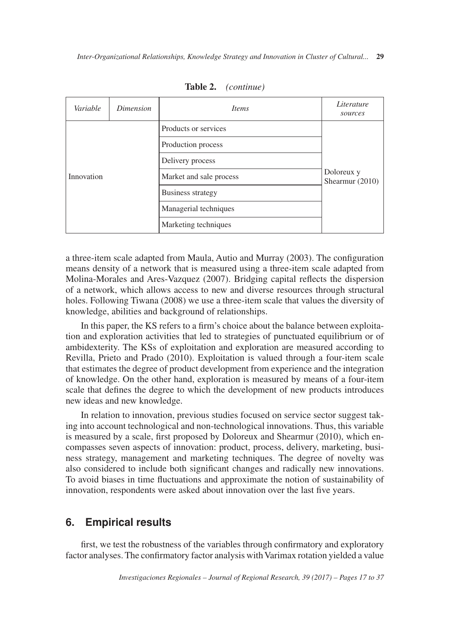| Variable   | Dimension | <i>Items</i>            | Literature<br>sources           |  |  |
|------------|-----------|-------------------------|---------------------------------|--|--|
|            |           | Products or services    |                                 |  |  |
| Innovation |           | Production process      |                                 |  |  |
|            |           | Delivery process        | Doloreux y<br>Shearmur $(2010)$ |  |  |
|            |           | Market and sale process |                                 |  |  |
|            |           | Business strategy       |                                 |  |  |
|            |           | Managerial techniques   |                                 |  |  |
|            |           | Marketing techniques    |                                 |  |  |

**Table 2.** *(continue)*

a three-item scale adapted from Maula, Autio and Murray (2003). The configuration means density of a network that is measured using a three-item scale adapted from Molina-Morales and Ares-Vazquez (2007). Bridging capital reflects the dispersion of a network, which allows access to new and diverse resources through structural holes. Following Tiwana (2008) we use a three-item scale that values the diversity of knowledge, abilities and background of relationships.

In this paper, the KS refers to a firm's choice about the balance between exploitation and exploration activities that led to strategies of punctuated equilibrium or of ambidexterity. The KSs of exploitation and exploration are measured according to Revilla, Prieto and Prado (2010). Exploitation is valued through a four-item scale that estimates the degree of product development from experience and the integration of knowledge. On the other hand, exploration is measured by means of a four-item scale that defines the degree to which the development of new products introduces new ideas and new knowledge.

In relation to innovation, previous studies focused on service sector suggest taking into account technological and non-technological innovations. Thus, this variable is measured by a scale, first proposed by Doloreux and Shearmur (2010), which encompasses seven aspects of innovation: product, process, delivery, marketing, business strategy, management and marketing techniques. The degree of novelty was also considered to include both significant changes and radically new innovations. To avoid biases in time fluctuations and approximate the notion of sustainability of innovation, respondents were asked about innovation over the last five years.

# **6. Empirical results**

first, we test the robustness of the variables through confirmatory and exploratory factor analyses. The confirmatory factor analysis with Varimax rotation yielded a value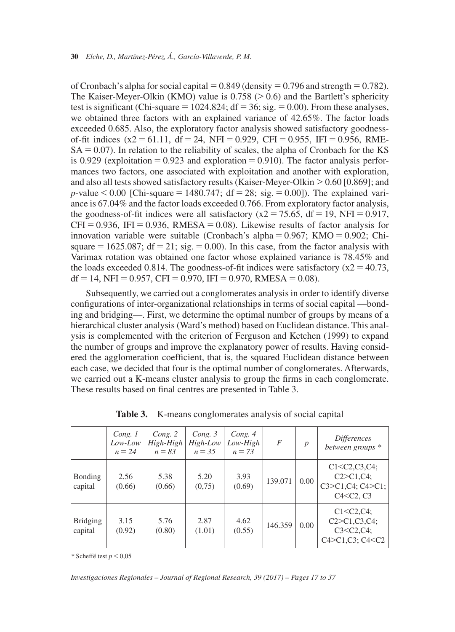of Cronbach's alpha for social capital  $= 0.849$  (density  $= 0.796$  and strength  $= 0.782$ ). The Kaiser-Meyer-Olkin (KMO) value is  $0.758$  ( $> 0.6$ ) and the Bartlett's sphericity test is significant (Chi-square =  $1024.824$ ; df = 36; sig. = 0.00). From these analyses, we obtained three factors with an explained variance of 42.65%. The factor loads exceeded 0.685. Also, the exploratory factor analysis showed satisfactory goodnessof-fit indices  $(x2 = 61.11, df = 24, NFI = 0.929, CFI = 0.955, IFI = 0.956, RME SA = 0.07$ ). In relation to the reliability of scales, the alpha of Cronbach for the KS is 0.929 (exploitation  $= 0.923$  and exploration  $= 0.910$ ). The factor analysis performances two factors, one associated with exploitation and another with exploration, and also all tests showed satisfactory results (Kaiser-Meyer-Olkin  $> 0.60$  [0.869]; and *p*-value  $\leq 0.00$  [Chi-square = 1480.747; df = 28; sig. = 0.00]). The explained variance is 67.04% and the factor loads exceeded 0.766. From exploratory factor analysis, the goodness-of-fit indices were all satisfactory  $(x2 = 75.65, df = 19, NFI = 0.917,$  $CFI = 0.936$ , IFI = 0.936, RMESA = 0.08). Likewise results of factor analysis for innovation variable were suitable (Cronbach's alpha =  $0.967$ ; KMO =  $0.902$ ; Chisquare  $= 1625.087$ ; df  $= 21$ ; sig.  $= 0.00$ ). In this case, from the factor analysis with Varimax rotation was obtained one factor whose explained variance is 78.45% and the loads exceeded 0.814. The goodness-of-fit indices were satisfactory  $(x2 = 40.73$ ,  $df = 14$ , NFI = 0.957, CFI = 0.970, IFI = 0.970, RMESA = 0.08).

Subsequently, we carried out a conglomerates analysis in order to identify diverse configurations of inter-organizational relationships in terms of social capital —bonding and bridging—. First, we determine the optimal number of groups by means of a hierarchical cluster analysis (Ward's method) based on Euclidean distance. This analysis is complemented with the criterion of Ferguson and Ketchen (1999) to expand the number of groups and improve the explanatory power of results. Having considered the agglomeration coefficient, that is, the squared Euclidean distance between each case, we decided that four is the optimal number of conglomerates. Afterwards, we carried out a K-means cluster analysis to group the firms in each conglomerate. These results based on final centres are presented in Table 3.

|                            | Cong. 1<br>Low-Low<br>$n = 24$ | Cong. 2<br>$High-High$<br>$n = 83$ | Cong. 3<br>High-Low<br>$n = 35$ | Cong. 4<br>Low-High<br>$n = 73$ | $\overline{F}$ | $\boldsymbol{p}$ | <i>Differences</i><br>between groups *                                                 |
|----------------------------|--------------------------------|------------------------------------|---------------------------------|---------------------------------|----------------|------------------|----------------------------------------------------------------------------------------|
| <b>Bonding</b><br>capital  | 2.56<br>(0.66)                 | 5.38<br>(0.66)                     | 5.20<br>(0,75)                  | 3.93<br>(0.69)                  | 139.071        | $0.00\,$         | $C1 < C2, C3, C4$ ;<br>$C2 > C1, C4$ ;<br>C3 > C1, C4; C4 > C1;<br>$C4 < C2$ , $C3$    |
| <b>Bridging</b><br>capital | 3.15<br>(0.92)                 | 5.76<br>(0.80)                     | 2.87<br>(1.01)                  | 4.62<br>(0.55)                  | 146.359        | 0.00             | $C1 < C2, C4$ ;<br>$C2 > C1, C3, C4$ ;<br>$C3 < C2, C4$ ;<br>$C4 > C1, C3$ ; $C4 < C2$ |

**Table 3.** K-means conglomerates analysis of social capital

*\** Scheffé test *p* < 0,05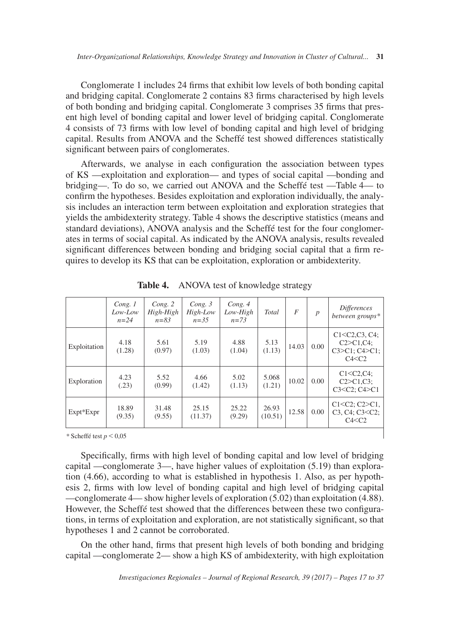Conglomerate 1 includes 24 firms that exhibit low levels of both bonding capital and bridging capital. Conglomerate 2 contains 83 firms characterised by high levels of both bonding and bridging capital. Conglomerate 3 comprises 35 firms that present high level of bonding capital and lower level of bridging capital. Conglomerate 4 consists of 73 firms with low level of bonding capital and high level of bridging capital. Results from ANOVA and the Scheffé test showed differences statistically significant between pairs of conglomerates.

Afterwards, we analyse in each configuration the association between types of KS —exploitation and exploration— and types of social capital —bonding and bridging—. To do so, we carried out ANOVA and the Scheffé test —Table 4— to confirm the hypotheses. Besides exploitation and exploration individually, the analysis includes an interaction term between exploitation and exploration strategies that yields the ambidexterity strategy. Table 4 shows the descriptive statistics (means and standard deviations), ANOVA analysis and the Scheffé test for the four conglomerates in terms of social capital. As indicated by the ANOVA analysis, results revealed significant differences between bonding and bridging social capital that a firm requires to develop its KS that can be exploitation, exploration or ambidexterity.

|                              | Cong. 1<br>Low-Low<br>$n=24$ | Cong. 2<br>High-High<br>$n = 83$ | Cong. $3$<br>High-Low<br>$n=35$ | Cong. 4<br>$Low-High$<br>$n = 7.3$ | Total            | $\boldsymbol{F}$ | $\boldsymbol{p}$ | <i>Differences</i><br>between groups*                                                                        |
|------------------------------|------------------------------|----------------------------------|---------------------------------|------------------------------------|------------------|------------------|------------------|--------------------------------------------------------------------------------------------------------------|
| Exploitation                 | 4.18<br>(1.28)               | 5.61<br>(0.97)                   | 5.19<br>(1.03)                  | 4.88<br>(1.04)                     | 5.13<br>(1.13)   | 14.03            | 0.00             | C1 < C2, C3, C4;<br>$C2 > C1, C4$ ;<br>$C3 > C1$ ; $C4 > C1$ ;<br>C4 < C2                                    |
| Exploration                  | 4.23<br>(.23)                | 5.52<br>(0.99)                   | 4.66<br>(1.42)                  | 5.02<br>(1.13)                     | 5.068<br>(1.21)  | 10.02            | 0.00             | $C1 < C2, C4$ ;<br>$C2 > C1.C3$ :<br>$C3 < C2$ ; $C4 > C1$                                                   |
| $Expt*Expr$                  | 18.89<br>(9.35)              | 31.48<br>(9.55)                  | 25.15<br>(11.37)                | 25.22<br>(9.29)                    | 26.93<br>(10.51) | 12.58            | 0.00             | $C1 < C2$ ; $C2 > C1$ ,<br>C <sub>3</sub> , C <sub>4</sub> ; C <sub>3</sub> <c<sub>2;<br/>C4 &lt; C2</c<sub> |
| * Scheffé test $n \leq 0.05$ |                              |                                  |                                 |                                    |                  |                  |                  |                                                                                                              |

Table 4. ANOVA test of knowledge strategy

*\** Scheffé test *p* < 0,05

Specifically, firms with high level of bonding capital and low level of bridging capital —conglomerate 3—, have higher values of exploitation (5.19) than exploration (4.66), according to what is established in hypothesis 1. Also, as per hypothesis 2, firms with low level of bonding capital and high level of bridging capital —conglomerate 4— show higher levels of exploration (5.02) than exploitation (4.88). However, the Scheffé test showed that the differences between these two configurations, in terms of exploitation and exploration, are not statistically significant, so that hypotheses 1 and 2 cannot be corroborated.

On the other hand, firms that present high levels of both bonding and bridging capital —conglomerate 2— show a high KS of ambidexterity, with high exploitation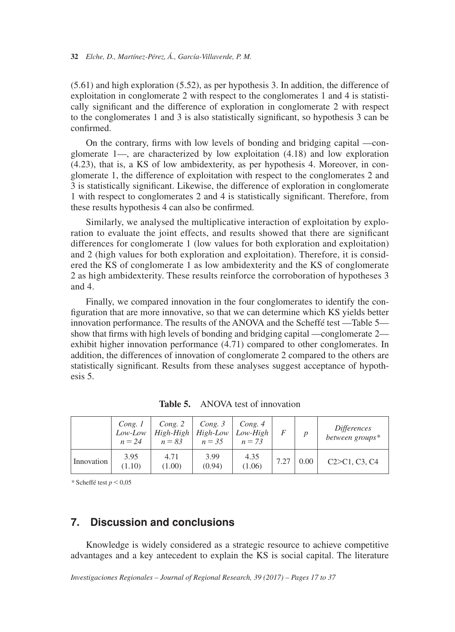(5.61) and high exploration (5.52), as per hypothesis 3. In addition, the difference of exploitation in conglomerate 2 with respect to the conglomerates 1 and 4 is statistically significant and the difference of exploration in conglomerate 2 with respect to the conglomerates 1 and 3 is also statistically significant, so hypothesis 3 can be confirmed.

On the contrary, firms with low levels of bonding and bridging capital —conglomerate 1—, are characterized by low exploitation (4.18) and low exploration (4.23), that is, a KS of low ambidexterity, as per hypothesis 4. Moreover, in conglomerate 1, the difference of exploitation with respect to the conglomerates 2 and 3 is statistically significant. Likewise, the difference of exploration in conglomerate 1 with respect to conglomerates 2 and 4 is statistically significant. Therefore, from these results hypothesis 4 can also be confirmed.

Similarly, we analysed the multiplicative interaction of exploitation by exploration to evaluate the joint effects, and results showed that there are significant differences for conglomerate 1 (low values for both exploration and exploitation) and 2 (high values for both exploration and exploitation). Therefore, it is considered the KS of conglomerate 1 as low ambidexterity and the KS of conglomerate 2 as high ambidexterity. These results reinforce the corroboration of hypotheses 3 and 4.

Finally, we compared innovation in the four conglomerates to identify the configuration that are more innovative, so that we can determine which KS yields better innovation performance. The results of the ANOVA and the Scheffé test —Table 5 show that firms with high levels of bonding and bridging capital —conglomerate 2 exhibit higher innovation performance (4.71) compared to other conglomerates. In addition, the differences of innovation of conglomerate 2 compared to the others are statistically significant. Results from these analyses suggest acceptance of hypothesis 5.

|            | Cong.1<br>Low-Low<br>$n = 24$ | Cong. 2<br>$High-High$   High-Low   Low-High<br>$n = 83$ | $Cone.$ 3<br>$n = 35$ | Cong. 4<br>$n = 73$ | F    |      | <i>Differences</i><br>between groups* |
|------------|-------------------------------|----------------------------------------------------------|-----------------------|---------------------|------|------|---------------------------------------|
| Innovation | 3.95<br>(1.10)                | 4.71<br>(1.00)                                           | 3.99<br>(0.94)        | 4.35<br>(1.06)      | 7.27 | 0.00 | C2 > C1, C3, C4                       |

**Table 5.** ANOVA test of innovation

*\** Scheffé test *p* < 0,05

### **7. Discussion and conclusions**

Knowledge is widely considered as a strategic resource to achieve competitive advantages and a key antecedent to explain the KS is social capital. The literature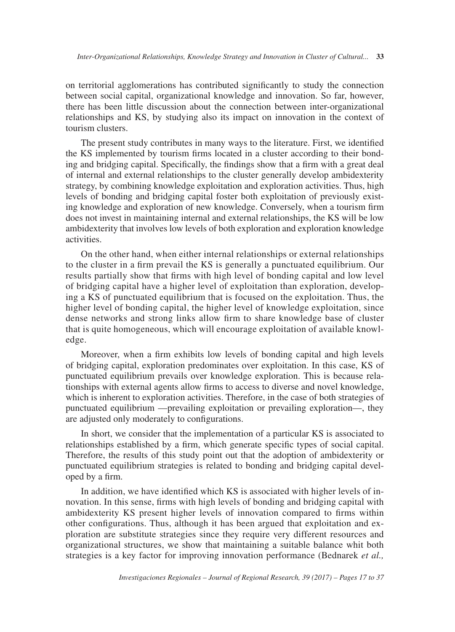on territorial agglomerations has contributed significantly to study the connection between social capital, organizational knowledge and innovation. So far, however, there has been little discussion about the connection between inter-organizational relationships and KS, by studying also its impact on innovation in the context of tourism clusters.

The present study contributes in many ways to the literature. First, we identified the KS implemented by tourism firms located in a cluster according to their bonding and bridging capital. Specifically, the findings show that a firm with a great deal of internal and external relationships to the cluster generally develop ambidexterity strategy, by combining knowledge exploitation and exploration activities. Thus, high levels of bonding and bridging capital foster both exploitation of previously existing knowledge and exploration of new knowledge. Conversely, when a tourism firm does not invest in maintaining internal and external relationships, the KS will be low ambidexterity that involves low levels of both exploration and exploration knowledge activities.

On the other hand, when either internal relationships or external relationships to the cluster in a firm prevail the KS is generally a punctuated equilibrium. Our results partially show that firms with high level of bonding capital and low level of bridging capital have a higher level of exploitation than exploration, developing a KS of punctuated equilibrium that is focused on the exploitation. Thus, the higher level of bonding capital, the higher level of knowledge exploitation, since dense networks and strong links allow firm to share knowledge base of cluster that is quite homogeneous, which will encourage exploitation of available knowledge.

Moreover, when a firm exhibits low levels of bonding capital and high levels of bridging capital, exploration predominates over exploitation. In this case, KS of punctuated equilibrium prevails over knowledge exploration. This is because relationships with external agents allow firms to access to diverse and novel knowledge, which is inherent to exploration activities. Therefore, in the case of both strategies of punctuated equilibrium —prevailing exploitation or prevailing exploration—, they are adjusted only moderately to configurations.

In short, we consider that the implementation of a particular KS is associated to relationships established by a firm, which generate specific types of social capital. Therefore, the results of this study point out that the adoption of ambidexterity or punctuated equilibrium strategies is related to bonding and bridging capital developed by a firm.

In addition, we have identified which KS is associated with higher levels of innovation. In this sense, firms with high levels of bonding and bridging capital with ambidexterity KS present higher levels of innovation compared to firms within other configurations. Thus, although it has been argued that exploitation and exploration are substitute strategies since they require very different resources and organizational structures, we show that maintaining a suitable balance whit both strategies is a key factor for improving innovation performance (Bednarek *et al.,*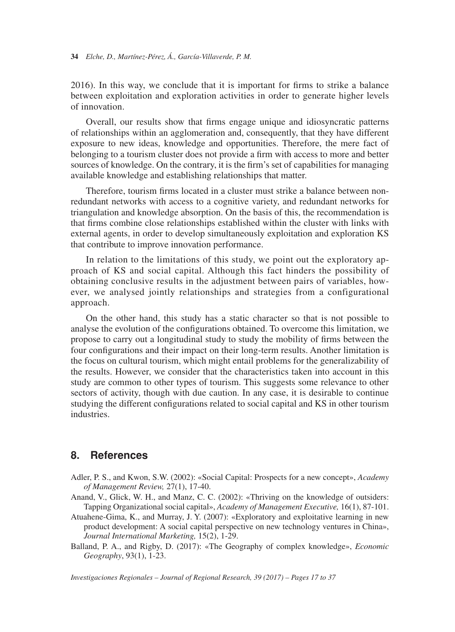2016). In this way, we conclude that it is important for firms to strike a balance between exploitation and exploration activities in order to generate higher levels of innovation.

Overall, our results show that firms engage unique and idiosyncratic patterns of relationships within an agglomeration and, consequently, that they have different exposure to new ideas, knowledge and opportunities. Therefore, the mere fact of belonging to a tourism cluster does not provide a firm with access to more and better sources of knowledge. On the contrary, it is the firm's set of capabilities for managing available knowledge and establishing relationships that matter.

Therefore, tourism firms located in a cluster must strike a balance between nonredundant networks with access to a cognitive variety, and redundant networks for triangulation and knowledge absorption. On the basis of this, the recommendation is that firms combine close relationships established within the cluster with links with external agents, in order to develop simultaneously exploitation and exploration KS that contribute to improve innovation performance.

In relation to the limitations of this study, we point out the exploratory approach of KS and social capital. Although this fact hinders the possibility of obtaining conclusive results in the adjustment between pairs of variables, however, we analysed jointly relationships and strategies from a configurational approach.

On the other hand, this study has a static character so that is not possible to analyse the evolution of the configurations obtained. To overcome this limitation, we propose to carry out a longitudinal study to study the mobility of firms between the four configurations and their impact on their long-term results. Another limitation is the focus on cultural tourism, which might entail problems for the generalizability of the results. However, we consider that the characteristics taken into account in this study are common to other types of tourism. This suggests some relevance to other sectors of activity, though with due caution. In any case, it is desirable to continue studying the different configurations related to social capital and KS in other tourism industries.

# **8. References**

- Adler, P. S., and Kwon, S.W. (2002): «Social Capital: Prospects for a new concept», *Academy of Management Review,* 27(1), 17-40.
- Anand, V., Glick, W. H., and Manz, C. C. (2002): «Thriving on the knowledge of outsiders: Tapping Organizational social capital», *Academy of Management Executive,* 16(1), 87-101.
- Atuahene-Gima, K., and Murray, J. Y. (2007): «Exploratory and exploitative learning in new product development: A social capital perspective on new technology ventures in China», *Journal International Marketing,* 15(2), 1-29.
- Balland, P. A., and Rigby, D. (2017): «The Geography of complex knowledge», *Economic Geography*, 93(1), 1-23.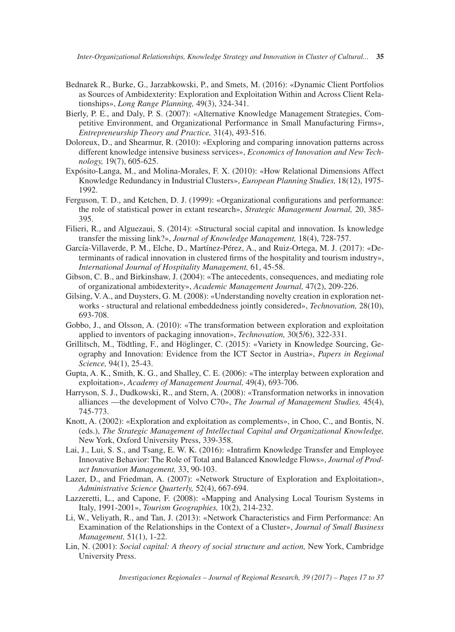- Bednarek R., Burke, G., Jarzabkowski, P., and Smets, M. (2016): «Dynamic Client Portfolios as Sources of Ambidexterity: Exploration and Exploitation Within and Across Client Relationships», *Long Range Planning,* 49(3), 324-341.
- Bierly, P. E., and Daly, P. S. (2007): «Alternative Knowledge Management Strategies, Competitive Environment, and Organizational Performance in Small Manufacturing Firms», *Entrepreneurship Theory and Practice,* 31(4), 493-516.
- Doloreux, D., and Shearmur, R. (2010): «Exploring and comparing innovation patterns across different knowledge intensive business services», *Economics of Innovation and New Technology,* 19(7), 605-625.
- Expósito-Langa, M., and Molina-Morales, F. X. (2010): «How Relational Dimensions Affect Knowledge Redundancy in Industrial Clusters», *European Planning Studies,* 18(12), 1975- 1992.
- Ferguson, T. D., and Ketchen, D. J. (1999): «Organizational configurations and performance: the role of statistical power in extant research», *Strategic Management Journal,* 20, 385- 395.
- Filieri, R., and Alguezaui, S. (2014): «Structural social capital and innovation. Is knowledge transfer the missing link?», *Journal of Knowledge Management,* 18(4), 728-757.
- García-Villaverde, P. M., Elche, D., Martínez-Pérez, A., and Ruiz-Ortega, M. J. (2017): «Determinants of radical innovation in clustered firms of the hospitality and tourism industry», *International Journal of Hospitality Management,* 61, 45-58.
- Gibson, C. B., and Birkinshaw, J. (2004): «The antecedents, consequences, and mediating role of organizational ambidexterity», *Academic Management Journal,* 47(2), 209-226.
- Gilsing, V. A., and Duysters, G. M. (2008): «Understanding novelty creation in exploration networks - structural and relational embeddedness jointly considered», *Technovation,* 28(10), 693-708.
- Gobbo, J., and Olsson, A. (2010): «The transformation between exploration and exploitation applied to inventors of packaging innovation», *Technovation,* 30(5/6), 322-331.
- Grillitsch, M., Tödtling, F., and Höglinger, C. (2015): «Variety in Knowledge Sourcing, Geography and Innovation: Evidence from the ICT Sector in Austria», *Papers in Regional Science,* 94(1), 25-43.
- Gupta, A. K., Smith, K. G., and Shalley, C. E. (2006): «The interplay between exploration and exploitation», *Academy of Management Journal,* 49(4), 693-706.
- Harryson, S. J., Dudkowski, R., and Stern, A. (2008): «Transformation networks in innovation alliances —the development of Volvo C70», *The Journal of Management Studies,* 45(4), 745-773.
- Knott, A. (2002): «Exploration and exploitation as complements», in Choo, C., and Bontis, N. (eds.), *The Strategic Management of Intellectual Capital and Organizational Knowledge,*  New York, Oxford University Press, 339-358.
- Lai, J., Lui, S. S., and Tsang, E. W. K. (2016): «Intrafirm Knowledge Transfer and Employee Innovative Behavior: The Role of Total and Balanced Knowledge Flows», *Journal of Product Innovation Management,* 33, 90-103.
- Lazer, D., and Friedman, A. (2007): «Network Structure of Exploration and Exploitation», *Administrative Science Quarterly,* 52(4), 667-694.
- Lazzeretti, L., and Capone, F. (2008): «Mapping and Analysing Local Tourism Systems in Italy, 1991-2001», *Tourism Geographies,* 10(2), 214-232.
- Li, W., Veliyath, R., and Tan, J. (2013): «Network Characteristics and Firm Performance: An Examination of the Relationships in the Context of a Cluster», *Journal of Small Business Management,* 51(1), 1-22.
- Lin, N. (2001): *Social capital: A theory of social structure and action,* New York, Cambridge University Press.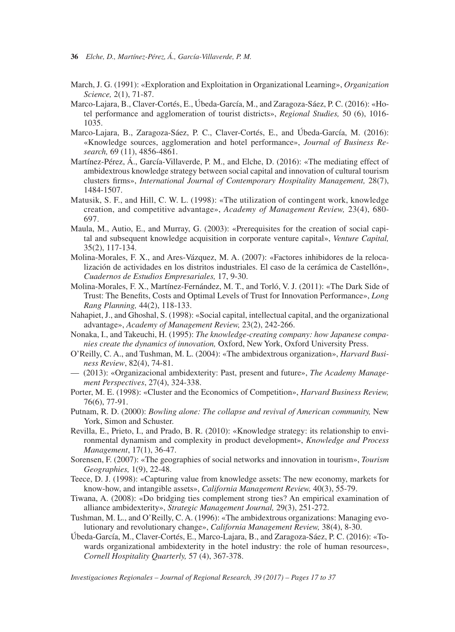- March, J. G. (1991): «Exploration and Exploitation in Organizational Learning», *Organization Science,* 2(1), 71-87.
- Marco-Lajara, B., Claver-Cortés, E., Úbeda-García, M., and Zaragoza-Sáez, P. C. (2016): «Hotel performance and agglomeration of tourist districts», *Regional Studies,* 50 (6), 1016- 1035.
- Marco-Lajara, B., Zaragoza-Sáez, P. C., Claver-Cortés, E., and Úbeda-García, M. (2016): «Knowledge sources, agglomeration and hotel performance», *Journal of Business Research,* 69 (11), 4856-4861.
- Martínez-Pérez, Á., García-Villaverde, P. M., and Elche, D. (2016): «The mediating effect of ambidextrous knowledge strategy between social capital and innovation of cultural tourism clusters firms», *International Journal of Contemporary Hospitality Management,* 28(7), 1484-1507.
- Matusik, S. F., and Hill, C. W. L. (1998): «The utilization of contingent work, knowledge creation, and competitive advantage», *Academy of Management Review,* 23(4), 680- 697.
- Maula, M., Autio, E., and Murray, G. (2003): «Prerequisites for the creation of social capital and subsequent knowledge acquisition in corporate venture capital», *Venture Capital,* 35(2), 117-134.
- Molina-Morales, F. X., and Ares-Vázquez, M. A. (2007): «Factores inhibidores de la relocalización de actividades en los distritos industriales. El caso de la cerámica de Castellón», *Cuadernos de Estudios Empresariales,* 17, 9-30.
- Molina-Morales, F. X., Martínez-Fernández, M. T., and Torló, V. J. (2011): «The Dark Side of Trust: The Benefits, Costs and Optimal Levels of Trust for Innovation Performance», *Long Rang Planning,* 44(2), 118-133.
- Nahapiet, J., and Ghoshal, S. (1998): «Social capital, intellectual capital, and the organizational advantage», *Academy of Management Review,* 23(2), 242-266.
- Nonaka, I., and Takeuchi, H. (1995): *The knowledge-creating company: how Japanese companies create the dynamics of innovation,* Oxford, New York, Oxford University Press.
- O'Reilly, C. A., and Tushman, M. L. (2004): «The ambidextrous organization», *Harvard Business Review*, 82(4), 74-81.
- (2013): «Organizacional ambidexterity: Past, present and future», *The Academy Management Perspectives*, 27(4), 324-338.
- Porter, M. E. (1998): «Cluster and the Economics of Competition», *Harvard Business Review,* 76(6), 77-91.
- Putnam, R. D. (2000): *Bowling alone: The collapse and revival of American community,* New York, Simon and Schuster.
- Revilla, E., Prieto, I., and Prado, B. R. (2010): «Knowledge strategy: its relationship to environmental dynamism and complexity in product development», *Knowledge and Process Management*, 17(1), 36-47.
- Sorensen, F. (2007): «The geographies of social networks and innovation in tourism», *Tourism Geographies,* 1(9), 22-48.
- Teece, D. J. (1998): «Capturing value from knowledge assets: The new economy, markets for know-how, and intangible assets», *California Management Review,* 40(3), 55-79.
- Tiwana, A. (2008): «Do bridging ties complement strong ties? An empirical examination of alliance ambidexterity», *Strategic Management Journal,* 29(3), 251-272.
- Tushman, M. L., and O'Reilly, C. A. (1996): «The ambidextrous organizations: Managing evolutionary and revolutionary change», *California Management Review,* 38(4), 8-30.
- Úbeda-García, M., Claver-Cortés, E., Marco-Lajara, B., and Zaragoza-Sáez, P. C. (2016): «Towards organizational ambidexterity in the hotel industry: the role of human resources», *Cornell Hospitality Quarterly,* 57 (4), 367-378.